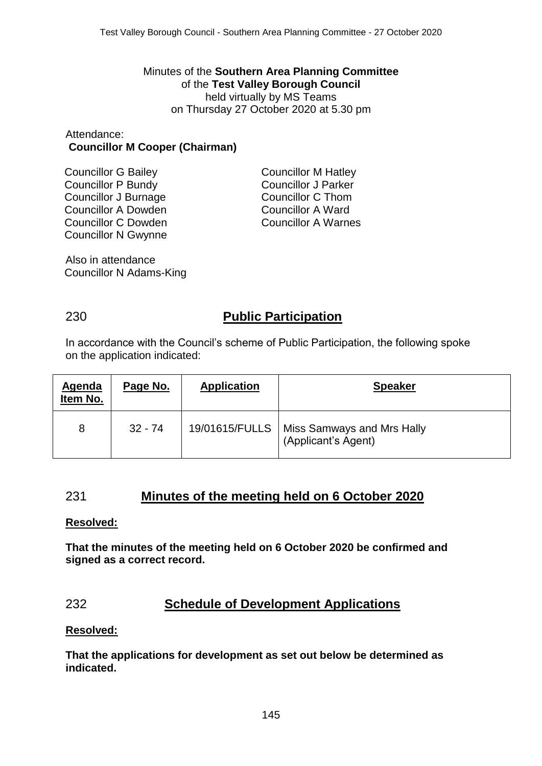Minutes of the **Southern Area Planning Committee** of the **Test Valley Borough Council** held virtually by MS Teams on Thursday 27 October 2020 at 5.30 pm

### Attendance: **Councillor M Cooper (Chairman)**

Councillor G Bailey Councillor P Bundy Councillor J Burnage Councillor A Dowden Councillor C Dowden Councillor N Gwynne Councillor M Hatley Councillor J Parker Councillor C Thom Councillor A Ward Councillor A Warnes

Also in attendance Councillor N Adams-King

# 230 **Public Participation**

In accordance with the Council's scheme of Public Participation, the following spoke on the application indicated:

| Agenda<br>Item No. | Page No.  | <b>Application</b> | <b>Speaker</b>                                                     |
|--------------------|-----------|--------------------|--------------------------------------------------------------------|
| 8                  | $32 - 74$ |                    | 19/01615/FULLS   Miss Samways and Mrs Hally<br>(Applicant's Agent) |

# 231 **Minutes of the meeting held on 6 October 2020**

### **Resolved:**

**That the minutes of the meeting held on 6 October 2020 be confirmed and signed as a correct record.**

# 232 **Schedule of Development Applications**

## **Resolved:**

**That the applications for development as set out below be determined as indicated.**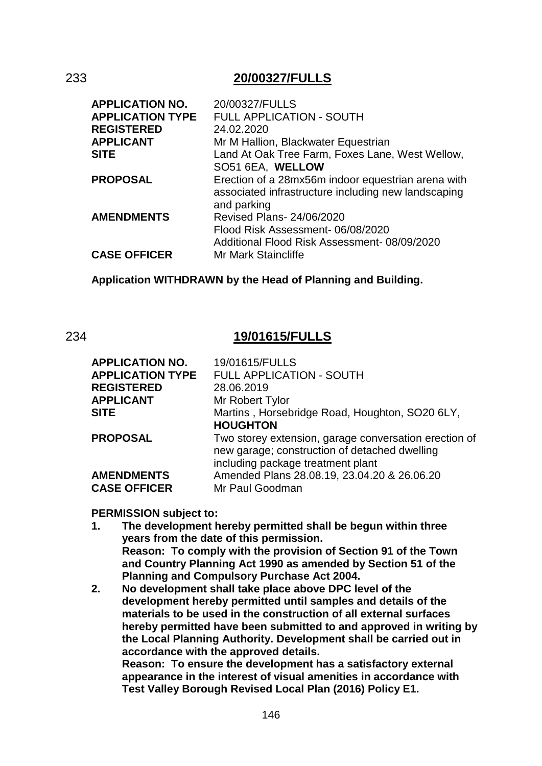## 233 **20/00327/FULLS**

| 20/00327/FULLS                                      |
|-----------------------------------------------------|
| <b>FULL APPLICATION - SOUTH</b>                     |
| 24.02.2020                                          |
| Mr M Hallion, Blackwater Equestrian                 |
| Land At Oak Tree Farm, Foxes Lane, West Wellow,     |
| SO51 6EA, WELLOW                                    |
| Erection of a 28mx56m indoor equestrian arena with  |
| associated infrastructure including new landscaping |
| and parking                                         |
| Revised Plans- 24/06/2020                           |
| Flood Risk Assessment-06/08/2020                    |
| Additional Flood Risk Assessment-08/09/2020         |
| Mr Mark Staincliffe                                 |
|                                                     |

**Application WITHDRAWN by the Head of Planning and Building.**

## 234 **19/01615/FULLS**

| <b>APPLICATION NO.</b>  | 19/01615/FULLS                                                                                                                              |
|-------------------------|---------------------------------------------------------------------------------------------------------------------------------------------|
| <b>APPLICATION TYPE</b> | FULL APPLICATION - SOUTH                                                                                                                    |
| <b>REGISTERED</b>       | 28.06.2019                                                                                                                                  |
| <b>APPLICANT</b>        | Mr Robert Tylor                                                                                                                             |
| <b>SITE</b>             | Martins, Horsebridge Road, Houghton, SO20 6LY,                                                                                              |
|                         | <b>HOUGHTON</b>                                                                                                                             |
| <b>PROPOSAL</b>         | Two storey extension, garage conversation erection of<br>new garage; construction of detached dwelling<br>including package treatment plant |
| <b>AMENDMENTS</b>       | Amended Plans 28.08.19, 23.04.20 & 26.06.20                                                                                                 |
| <b>CASE OFFICER</b>     | Mr Paul Goodman                                                                                                                             |

### **PERMISSION subject to:**

- **1. The development hereby permitted shall be begun within three years from the date of this permission. Reason: To comply with the provision of Section 91 of the Town and Country Planning Act 1990 as amended by Section 51 of the Planning and Compulsory Purchase Act 2004.**
- **2. No development shall take place above DPC level of the development hereby permitted until samples and details of the materials to be used in the construction of all external surfaces hereby permitted have been submitted to and approved in writing by the Local Planning Authority. Development shall be carried out in accordance with the approved details. Reason: To ensure the development has a satisfactory external appearance in the interest of visual amenities in accordance with Test Valley Borough Revised Local Plan (2016) Policy E1.**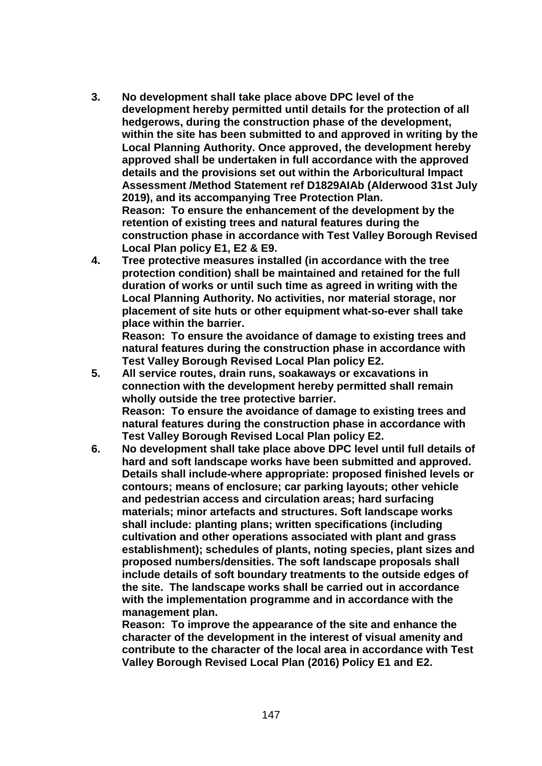- **3. No development shall take place above DPC level of the development hereby permitted until details for the protection of all hedgerows, during the construction phase of the development, within the site has been submitted to and approved in writing by the Local Planning Authority. Once approved, the development hereby approved shall be undertaken in full accordance with the approved details and the provisions set out within the Arboricultural Impact Assessment /Method Statement ref D1829AIAb (Alderwood 31st July 2019), and its accompanying Tree Protection Plan. Reason: To ensure the enhancement of the development by the retention of existing trees and natural features during the construction phase in accordance with Test Valley Borough Revised Local Plan policy E1, E2 & E9.**
- **4. Tree protective measures installed (in accordance with the tree protection condition) shall be maintained and retained for the full duration of works or until such time as agreed in writing with the Local Planning Authority. No activities, nor material storage, nor placement of site huts or other equipment what-so-ever shall take place within the barrier.**

**Reason: To ensure the avoidance of damage to existing trees and natural features during the construction phase in accordance with Test Valley Borough Revised Local Plan policy E2.**

- **5. All service routes, drain runs, soakaways or excavations in connection with the development hereby permitted shall remain wholly outside the tree protective barrier. Reason: To ensure the avoidance of damage to existing trees and natural features during the construction phase in accordance with Test Valley Borough Revised Local Plan policy E2.**
- **6. No development shall take place above DPC level until full details of hard and soft landscape works have been submitted and approved. Details shall include-where appropriate: proposed finished levels or contours; means of enclosure; car parking layouts; other vehicle and pedestrian access and circulation areas; hard surfacing materials; minor artefacts and structures. Soft landscape works shall include: planting plans; written specifications (including cultivation and other operations associated with plant and grass establishment); schedules of plants, noting species, plant sizes and proposed numbers/densities. The soft landscape proposals shall include details of soft boundary treatments to the outside edges of the site. The landscape works shall be carried out in accordance with the implementation programme and in accordance with the management plan.**

**Reason: To improve the appearance of the site and enhance the character of the development in the interest of visual amenity and contribute to the character of the local area in accordance with Test Valley Borough Revised Local Plan (2016) Policy E1 and E2.**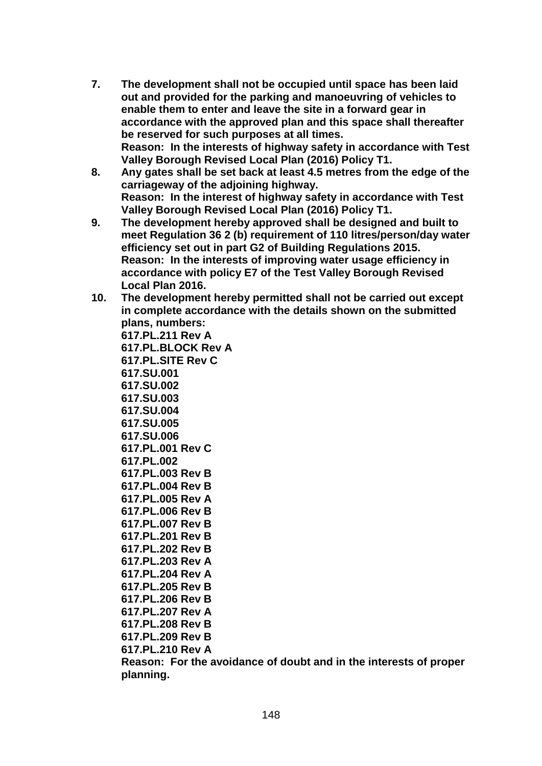- **7. The development shall not be occupied until space has been laid out and provided for the parking and manoeuvring of vehicles to enable them to enter and leave the site in a forward gear in accordance with the approved plan and this space shall thereafter be reserved for such purposes at all times. Reason: In the interests of highway safety in accordance with Test Valley Borough Revised Local Plan (2016) Policy T1.**
- **8. Any gates shall be set back at least 4.5 metres from the edge of the carriageway of the adjoining highway. Reason: In the interest of highway safety in accordance with Test Valley Borough Revised Local Plan (2016) Policy T1.**
- **9. The development hereby approved shall be designed and built to meet Regulation 36 2 (b) requirement of 110 litres/person/day water efficiency set out in part G2 of Building Regulations 2015. Reason: In the interests of improving water usage efficiency in accordance with policy E7 of the Test Valley Borough Revised Local Plan 2016.**
- **10. The development hereby permitted shall not be carried out except in complete accordance with the details shown on the submitted plans, numbers:**

**617.PL.211 Rev A 617.PL.BLOCK Rev A 617.PL.SITE Rev C 617.SU.001 617.SU.002 617.SU.003 617.SU.004 617.SU.005 617.SU.006 617.PL.001 Rev C 617.PL.002 617.PL.003 Rev B 617.PL.004 Rev B 617.PL.005 Rev A 617.PL.006 Rev B 617.PL.007 Rev B 617.PL.201 Rev B 617.PL.202 Rev B 617.PL.203 Rev A 617.PL.204 Rev A 617.PL.205 Rev B 617.PL.206 Rev B 617.PL.207 Rev A 617.PL.208 Rev B 617.PL.209 Rev B 617.PL.210 Rev A**

**Reason: For the avoidance of doubt and in the interests of proper planning.**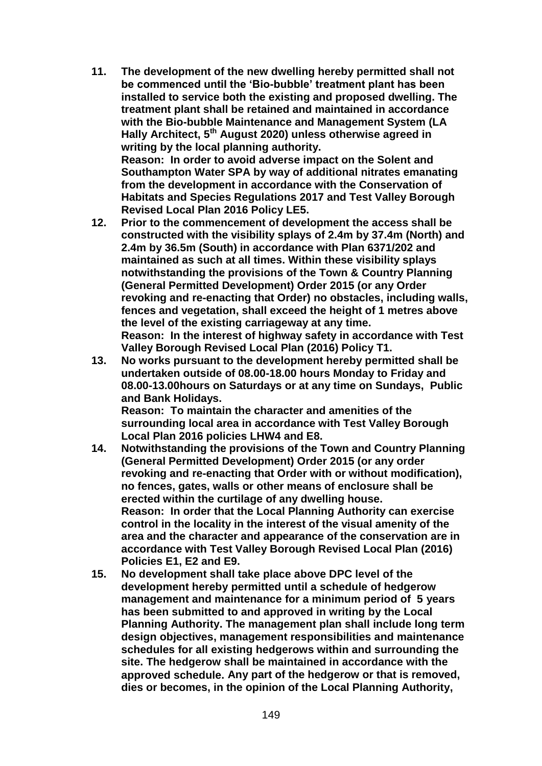**11. The development of the new dwelling hereby permitted shall not be commenced until the 'Bio-bubble' treatment plant has been installed to service both the existing and proposed dwelling. The treatment plant shall be retained and maintained in accordance with the Bio-bubble Maintenance and Management System (LA Hally Architect, 5th August 2020) unless otherwise agreed in writing by the local planning authority. Reason: In order to avoid adverse impact on the Solent and Southampton Water SPA by way of additional nitrates emanating** 

**from the development in accordance with the Conservation of Habitats and Species Regulations 2017 and Test Valley Borough Revised Local Plan 2016 Policy LE5.**

- **12. Prior to the commencement of development the access shall be constructed with the visibility splays of 2.4m by 37.4m (North) and 2.4m by 36.5m (South) in accordance with Plan 6371/202 and maintained as such at all times. Within these visibility splays notwithstanding the provisions of the Town & Country Planning (General Permitted Development) Order 2015 (or any Order revoking and re-enacting that Order) no obstacles, including walls, fences and vegetation, shall exceed the height of 1 metres above the level of the existing carriageway at any time. Reason: In the interest of highway safety in accordance with Test Valley Borough Revised Local Plan (2016) Policy T1.**
- **13. No works pursuant to the development hereby permitted shall be undertaken outside of 08.00-18.00 hours Monday to Friday and 08.00-13.00hours on Saturdays or at any time on Sundays, Public and Bank Holidays.**

**Reason: To maintain the character and amenities of the surrounding local area in accordance with Test Valley Borough Local Plan 2016 policies LHW4 and E8.** 

- **14. Notwithstanding the provisions of the Town and Country Planning (General Permitted Development) Order 2015 (or any order revoking and re-enacting that Order with or without modification), no fences, gates, walls or other means of enclosure shall be erected within the curtilage of any dwelling house. Reason: In order that the Local Planning Authority can exercise control in the locality in the interest of the visual amenity of the area and the character and appearance of the conservation are in accordance with Test Valley Borough Revised Local Plan (2016) Policies E1, E2 and E9.**
- **15. No development shall take place above DPC level of the development hereby permitted until a schedule of hedgerow management and maintenance for a minimum period of 5 years has been submitted to and approved in writing by the Local Planning Authority. The management plan shall include long term design objectives, management responsibilities and maintenance schedules for all existing hedgerows within and surrounding the site. The hedgerow shall be maintained in accordance with the approved schedule. Any part of the hedgerow or that is removed, dies or becomes, in the opinion of the Local Planning Authority,**